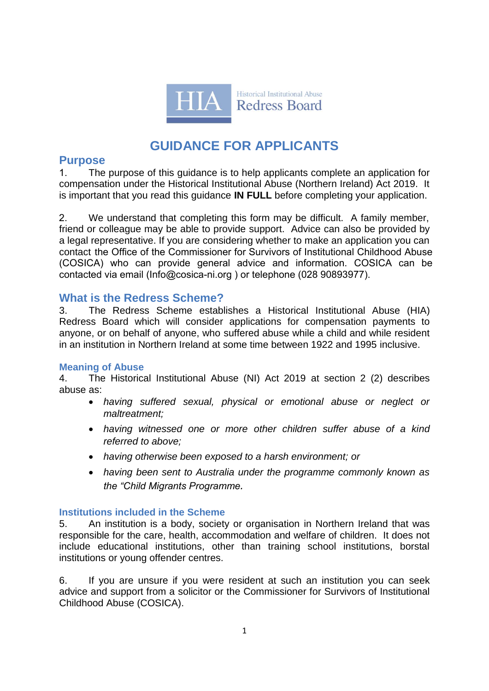

# **GUIDANCE FOR APPLICANTS**

# **Purpose**

1. The purpose of this guidance is to help applicants complete an application for compensation under the Historical Institutional Abuse (Northern Ireland) Act 2019. It is important that you read this guidance **IN FULL** before completing your application.

2. We understand that completing this form may be difficult. A family member, friend or colleague may be able to provide support. Advice can also be provided by a legal representative. If you are considering whether to make an application you can contact the Office of the Commissioner for Survivors of Institutional Childhood Abuse (COSICA) who can provide general advice and information. COSICA can be contacted via email (Info@cosica-ni.org ) or telephone (028 90893977).

# **What is the Redress Scheme?**

3. The Redress Scheme establishes a Historical Institutional Abuse (HIA) Redress Board which will consider applications for compensation payments to anyone, or on behalf of anyone, who suffered abuse while a child and while resident in an institution in Northern Ireland at some time between 1922 and 1995 inclusive.

# **Meaning of Abuse**

4. The Historical Institutional Abuse (NI) Act 2019 at section 2 (2) describes abuse as:

- *having suffered sexual, physical or emotional abuse or neglect or maltreatment;*
- *having witnessed one or more other children suffer abuse of a kind referred to above;*
- *having otherwise been exposed to a harsh environment; or*
- *having been sent to Australia under the programme commonly known as the "Child Migrants Programme.*

# **Institutions included in the Scheme**

5. An institution is a body, society or organisation in Northern Ireland that was responsible for the care, health, accommodation and welfare of children. It does not include educational institutions, other than training school institutions, borstal institutions or young offender centres.

6. If you are unsure if you were resident at such an institution you can seek advice and support from a solicitor or the Commissioner for Survivors of Institutional Childhood Abuse (COSICA).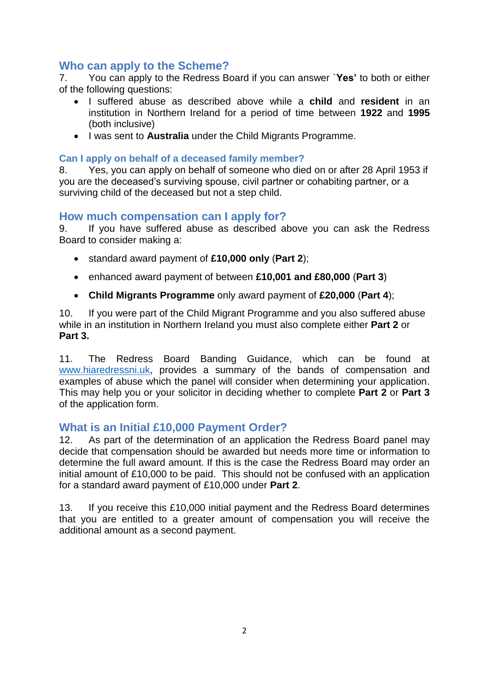# **Who can apply to the Scheme?**

7. You can apply to the Redress Board if you can answer `**Yes'** to both or either of the following questions:

- I suffered abuse as described above while a **child** and **resident** in an institution in Northern Ireland for a period of time between **1922** and **1995** (both inclusive)
- I was sent to **Australia** under the Child Migrants Programme.

### **Can I apply on behalf of a deceased family member?**

8. Yes, you can apply on behalf of someone who died on or after 28 April 1953 if you are the deceased's surviving spouse, civil partner or cohabiting partner, or a surviving child of the deceased but not a step child.

# **How much compensation can I apply for?**

9. If you have suffered abuse as described above you can ask the Redress Board to consider making a:

- standard award payment of **£10,000 only** (**Part 2**);
- enhanced award payment of between **£10,001 and £80,000** (**Part 3**)
- **Child Migrants Programme** only award payment of **£20,000** (**Part 4**);

10. If you were part of the Child Migrant Programme and you also suffered abuse while in an institution in Northern Ireland you must also complete either **Part 2** or **Part 3.** 

11. The Redress Board Banding Guidance, which can be found at [www.hiaredressni.uk,](http://www.hiaredressni.uk/) provides a summary of the bands of compensation and examples of abuse which the panel will consider when determining your application. This may help you or your solicitor in deciding whether to complete **Part 2** or **Part 3** of the application form.

# **What is an Initial £10,000 Payment Order?**

12. As part of the determination of an application the Redress Board panel may decide that compensation should be awarded but needs more time or information to determine the full award amount. If this is the case the Redress Board may order an initial amount of £10,000 to be paid. This should not be confused with an application for a standard award payment of £10,000 under **Part 2**.

13. If you receive this £10,000 initial payment and the Redress Board determines that you are entitled to a greater amount of compensation you will receive the additional amount as a second payment.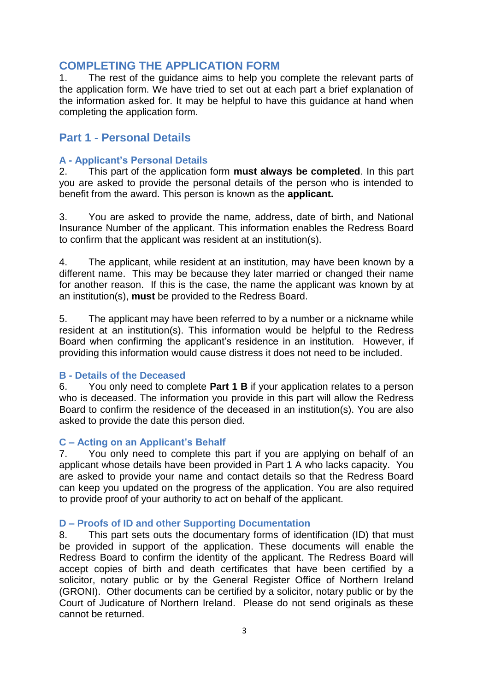# **COMPLETING THE APPLICATION FORM**

1. The rest of the guidance aims to help you complete the relevant parts of the application form. We have tried to set out at each part a brief explanation of the information asked for. It may be helpful to have this guidance at hand when completing the application form.

# **Part 1 - Personal Details**

#### **A - Applicant's Personal Details**

2. This part of the application form **must always be completed**. In this part you are asked to provide the personal details of the person who is intended to benefit from the award. This person is known as the **applicant.**

3. You are asked to provide the name, address, date of birth, and National Insurance Number of the applicant. This information enables the Redress Board to confirm that the applicant was resident at an institution(s).

4. The applicant, while resident at an institution, may have been known by a different name. This may be because they later married or changed their name for another reason. If this is the case, the name the applicant was known by at an institution(s), **must** be provided to the Redress Board.

5. The applicant may have been referred to by a number or a nickname while resident at an institution(s). This information would be helpful to the Redress Board when confirming the applicant's residence in an institution. However, if providing this information would cause distress it does not need to be included.

#### **B - Details of the Deceased**

6. You only need to complete **Part 1 B** if your application relates to a person who is deceased. The information you provide in this part will allow the Redress Board to confirm the residence of the deceased in an institution(s). You are also asked to provide the date this person died.

### **C – Acting on an Applicant's Behalf**

7. You only need to complete this part if you are applying on behalf of an applicant whose details have been provided in Part 1 A who lacks capacity. You are asked to provide your name and contact details so that the Redress Board can keep you updated on the progress of the application. You are also required to provide proof of your authority to act on behalf of the applicant.

#### **D – Proofs of ID and other Supporting Documentation**

8. This part sets outs the documentary forms of identification (ID) that must be provided in support of the application. These documents will enable the Redress Board to confirm the identity of the applicant. The Redress Board will accept copies of birth and death certificates that have been certified by a solicitor, notary public or by the General Register Office of Northern Ireland (GRONI). Other documents can be certified by a solicitor, notary public or by the Court of Judicature of Northern Ireland. Please do not send originals as these cannot be returned.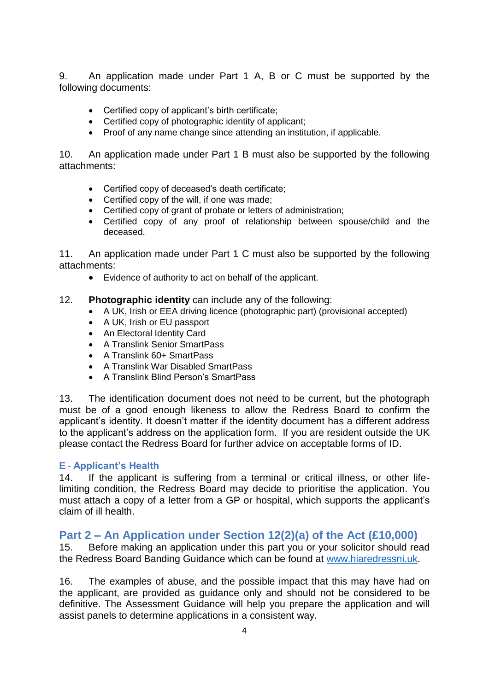9. An application made under Part 1 A, B or C must be supported by the following documents:

- Certified copy of applicant's birth certificate;
- Certified copy of photographic identity of applicant;
- Proof of any name change since attending an institution, if applicable.

10. An application made under Part 1 B must also be supported by the following attachments:

- Certified copy of deceased's death certificate;
- Certified copy of the will, if one was made;
- Certified copy of grant of probate or letters of administration;
- Certified copy of any proof of relationship between spouse/child and the deceased.

11. An application made under Part 1 C must also be supported by the following attachments:

Evidence of authority to act on behalf of the applicant.

### 12. **Photographic identity** can include any of the following:

- A UK, Irish or EEA driving licence (photographic part) (provisional accepted)
- A UK, Irish or EU passport
- An Electoral Identity Card
- A Translink Senior SmartPass
- A Translink 60+ SmartPass
- A Translink War Disabled SmartPass
- A Translink Blind Person's SmartPass

13. The identification document does not need to be current, but the photograph must be of a good enough likeness to allow the Redress Board to confirm the applicant's identity. It doesn't matter if the identity document has a different address to the applicant's address on the application form. If you are resident outside the UK please contact the Redress Board for further advice on acceptable forms of ID.

### **E** - **Applicant's Health**

14. If the applicant is suffering from a terminal or critical illness, or other lifelimiting condition, the Redress Board may decide to prioritise the application. You must attach a copy of a letter from a GP or hospital, which supports the applicant's claim of ill health.

# **Part 2 – An Application under Section 12(2)(a) of the Act (£10,000)**

15. Before making an application under this part you or your solicitor should read the Redress Board Banding Guidance which can be found at [www.hiaredressni.uk.](http://www.hiaredressni.uk/)

16. The examples of abuse, and the possible impact that this may have had on the applicant, are provided as guidance only and should not be considered to be definitive. The Assessment Guidance will help you prepare the application and will assist panels to determine applications in a consistent way.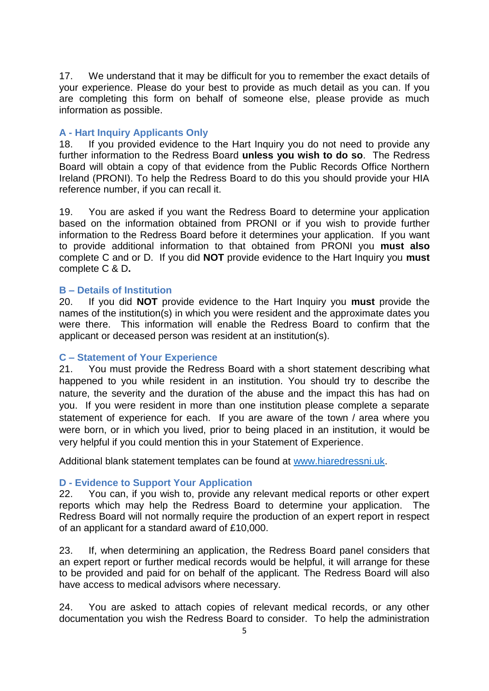17. We understand that it may be difficult for you to remember the exact details of your experience. Please do your best to provide as much detail as you can. If you are completing this form on behalf of someone else, please provide as much information as possible.

### **A - Hart Inquiry Applicants Only**

18. If you provided evidence to the Hart Inquiry you do not need to provide any further information to the Redress Board **unless you wish to do so**. The Redress Board will obtain a copy of that evidence from the Public Records Office Northern Ireland (PRONI). To help the Redress Board to do this you should provide your HIA reference number, if you can recall it.

19. You are asked if you want the Redress Board to determine your application based on the information obtained from PRONI or if you wish to provide further information to the Redress Board before it determines your application. If you want to provide additional information to that obtained from PRONI you **must also**  complete C and or D. If you did **NOT** provide evidence to the Hart Inquiry you **must** complete C & D**.**

### **B – Details of Institution**

20. If you did **NOT** provide evidence to the Hart Inquiry you **must** provide the names of the institution(s) in which you were resident and the approximate dates you were there. This information will enable the Redress Board to confirm that the applicant or deceased person was resident at an institution(s).

### **C – Statement of Your Experience**

21. You must provide the Redress Board with a short statement describing what happened to you while resident in an institution. You should try to describe the nature, the severity and the duration of the abuse and the impact this has had on you. If you were resident in more than one institution please complete a separate statement of experience for each. If you are aware of the town / area where you were born, or in which you lived, prior to being placed in an institution, it would be very helpful if you could mention this in your Statement of Experience.

Additional blank statement templates can be found at [www.hiaredressni.uk.](http://www.hiaredressni.uk/)

### **D - Evidence to Support Your Application**

22. You can, if you wish to, provide any relevant medical reports or other expert reports which may help the Redress Board to determine your application. The Redress Board will not normally require the production of an expert report in respect of an applicant for a standard award of £10,000.

23. If, when determining an application, the Redress Board panel considers that an expert report or further medical records would be helpful, it will arrange for these to be provided and paid for on behalf of the applicant. The Redress Board will also have access to medical advisors where necessary.

24. You are asked to attach copies of relevant medical records, or any other documentation you wish the Redress Board to consider. To help the administration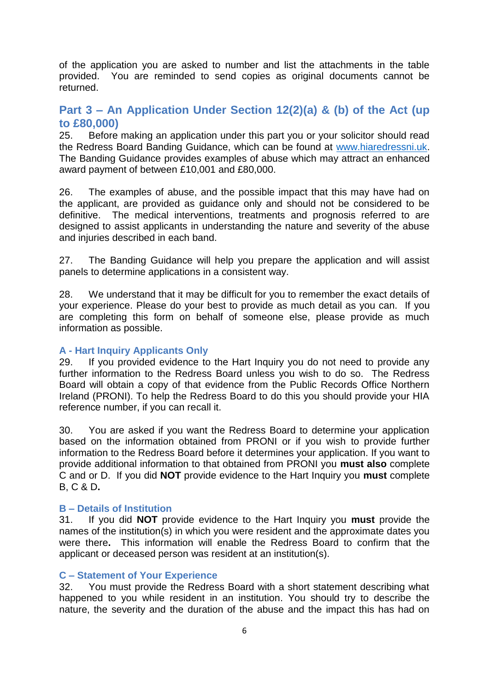of the application you are asked to number and list the attachments in the table provided. You are reminded to send copies as original documents cannot be returned.

# **Part 3 – An Application Under Section 12(2)(a) & (b) of the Act (up to £80,000)**

25. Before making an application under this part you or your solicitor should read the Redress Board Banding Guidance, which can be found at [www.hiaredressni.uk.](http://www.hiaredressni.uk/) The Banding Guidance provides examples of abuse which may attract an enhanced award payment of between £10,001 and £80,000.

26. The examples of abuse, and the possible impact that this may have had on the applicant, are provided as guidance only and should not be considered to be definitive. The medical interventions, treatments and prognosis referred to are designed to assist applicants in understanding the nature and severity of the abuse and injuries described in each band.

27. The Banding Guidance will help you prepare the application and will assist panels to determine applications in a consistent way.

28. We understand that it may be difficult for you to remember the exact details of your experience. Please do your best to provide as much detail as you can. If you are completing this form on behalf of someone else, please provide as much information as possible.

### **A - Hart Inquiry Applicants Only**

29. If you provided evidence to the Hart Inquiry you do not need to provide any further information to the Redress Board unless you wish to do so. The Redress Board will obtain a copy of that evidence from the Public Records Office Northern Ireland (PRONI). To help the Redress Board to do this you should provide your HIA reference number, if you can recall it.

30. You are asked if you want the Redress Board to determine your application based on the information obtained from PRONI or if you wish to provide further information to the Redress Board before it determines your application. If you want to provide additional information to that obtained from PRONI you **must also** complete C and or D. If you did **NOT** provide evidence to the Hart Inquiry you **must** complete B, C & D**.**

### **B – Details of Institution**

31. If you did **NOT** provide evidence to the Hart Inquiry you **must** provide the names of the institution(s) in which you were resident and the approximate dates you were there**.** This information will enable the Redress Board to confirm that the applicant or deceased person was resident at an institution(s).

#### **C – Statement of Your Experience**

32. You must provide the Redress Board with a short statement describing what happened to you while resident in an institution. You should try to describe the nature, the severity and the duration of the abuse and the impact this has had on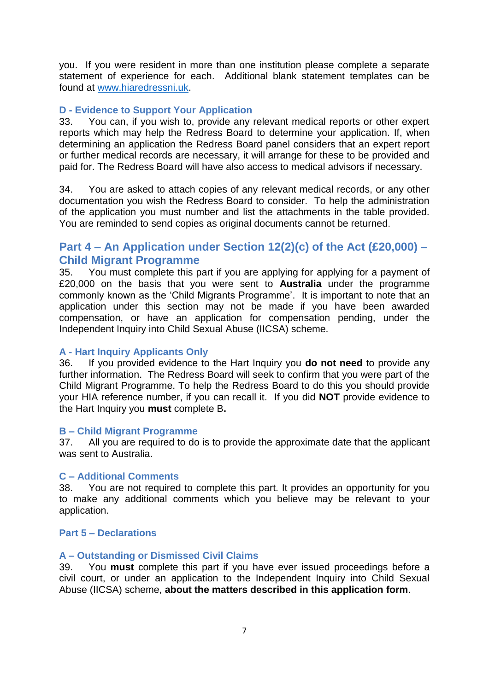you. If you were resident in more than one institution please complete a separate statement of experience for each. Additional blank statement templates can be found at [www.hiaredressni.uk.](http://www.hiaredressni.uk/)

### **D - Evidence to Support Your Application**

33. You can, if you wish to, provide any relevant medical reports or other expert reports which may help the Redress Board to determine your application. If, when determining an application the Redress Board panel considers that an expert report or further medical records are necessary, it will arrange for these to be provided and paid for. The Redress Board will have also access to medical advisors if necessary.

34. You are asked to attach copies of any relevant medical records, or any other documentation you wish the Redress Board to consider. To help the administration of the application you must number and list the attachments in the table provided. You are reminded to send copies as original documents cannot be returned.

# **Part 4 – An Application under Section 12(2)(c) of the Act (£20,000) – Child Migrant Programme**

35. You must complete this part if you are applying for applying for a payment of £20,000 on the basis that you were sent to **Australia** under the programme commonly known as the 'Child Migrants Programme'. It is important to note that an application under this section may not be made if you have been awarded compensation, or have an application for compensation pending, under the Independent Inquiry into Child Sexual Abuse (IICSA) scheme.

### **A - Hart Inquiry Applicants Only**

36. If you provided evidence to the Hart Inquiry you **do not need** to provide any further information. The Redress Board will seek to confirm that you were part of the Child Migrant Programme. To help the Redress Board to do this you should provide your HIA reference number, if you can recall it. If you did **NOT** provide evidence to the Hart Inquiry you **must** complete B**.**

### **B – Child Migrant Programme**

37. All you are required to do is to provide the approximate date that the applicant was sent to Australia.

#### **C – Additional Comments**

38. You are not required to complete this part. It provides an opportunity for you to make any additional comments which you believe may be relevant to your application.

#### **Part 5 – Declarations**

#### **A – Outstanding or Dismissed Civil Claims**

39. You **must** complete this part if you have ever issued proceedings before a civil court, or under an application to the Independent Inquiry into Child Sexual Abuse (IICSA) scheme, **about the matters described in this application form**.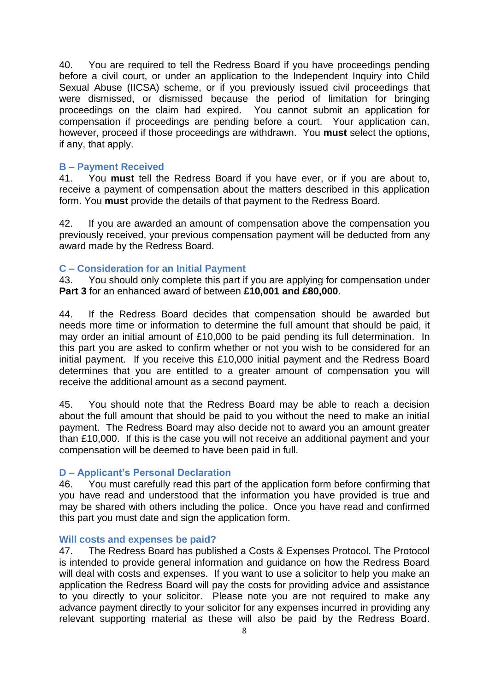40. You are required to tell the Redress Board if you have proceedings pending before a civil court, or under an application to the Independent Inquiry into Child Sexual Abuse (IICSA) scheme, or if you previously issued civil proceedings that were dismissed, or dismissed because the period of limitation for bringing proceedings on the claim had expired. You cannot submit an application for compensation if proceedings are pending before a court. Your application can, however, proceed if those proceedings are withdrawn. You **must** select the options, if any, that apply.

#### **B – Payment Received**

41. You **must** tell the Redress Board if you have ever, or if you are about to, receive a payment of compensation about the matters described in this application form. You **must** provide the details of that payment to the Redress Board.

42. If you are awarded an amount of compensation above the compensation you previously received, your previous compensation payment will be deducted from any award made by the Redress Board.

#### **C – Consideration for an Initial Payment**

43. You should only complete this part if you are applying for compensation under **Part 3** for an enhanced award of between **£10,001 and £80,000**.

44. If the Redress Board decides that compensation should be awarded but needs more time or information to determine the full amount that should be paid, it may order an initial amount of £10,000 to be paid pending its full determination. In this part you are asked to confirm whether or not you wish to be considered for an initial payment. If you receive this £10,000 initial payment and the Redress Board determines that you are entitled to a greater amount of compensation you will receive the additional amount as a second payment.

45. You should note that the Redress Board may be able to reach a decision about the full amount that should be paid to you without the need to make an initial payment. The Redress Board may also decide not to award you an amount greater than £10,000. If this is the case you will not receive an additional payment and your compensation will be deemed to have been paid in full.

#### **D – Applicant's Personal Declaration**

46. You must carefully read this part of the application form before confirming that you have read and understood that the information you have provided is true and may be shared with others including the police. Once you have read and confirmed this part you must date and sign the application form.

#### **Will costs and expenses be paid?**

47. The Redress Board has published a Costs & Expenses Protocol. The Protocol is intended to provide general information and guidance on how the Redress Board will deal with costs and expenses. If you want to use a solicitor to help you make an application the Redress Board will pay the costs for providing advice and assistance to you directly to your solicitor. Please note you are not required to make any advance payment directly to your solicitor for any expenses incurred in providing any relevant supporting material as these will also be paid by the Redress Board.